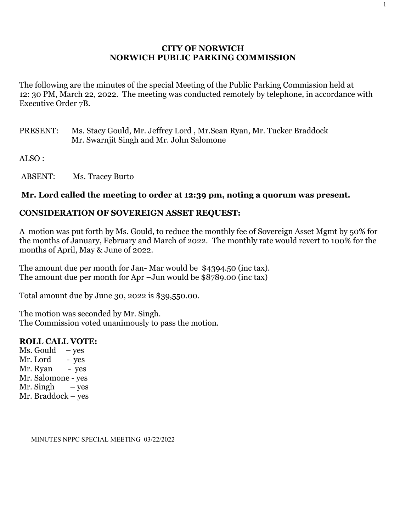# **CITY OF NORWICH NORWICH PUBLIC PARKING COMMISSION**

The following are the minutes of the special Meeting of the Public Parking Commission held at 12: 30 PM, March 22, 2022. The meeting was conducted remotely by telephone, in accordance with Executive Order 7B.

PRESENT: Ms. Stacy Gould, Mr. Jeffrey Lord , Mr.Sean Ryan, Mr. Tucker Braddock Mr. Swarnjit Singh and Mr. John Salomone

ALSO :

ABSENT: Ms. Tracey Burto

# **Mr. Lord called the meeting to order at 12:39 pm, noting a quorum was present.**

## **CONSIDERATION OF SOVEREIGN ASSET REQUEST:**

A motion was put forth by Ms. Gould, to reduce the monthly fee of Sovereign Asset Mgmt by 50% for the months of January, February and March of 2022. The monthly rate would revert to 100% for the months of April, May & June of 2022.

The amount due per month for Jan- Mar would be \$4394.50 (inc tax). The amount due per month for Apr –Jun would be \$8789.00 (inc tax)

Total amount due by June 30, 2022 is \$39,550.00.

The motion was seconded by Mr. Singh. The Commission voted unanimously to pass the motion.

### **ROLL CALL VOTE:**

Ms. Gould  $-$  yes Mr. Lord - yes Mr. Ryan - yes Mr. Salomone - yes Mr. Singh  $-$  yes Mr. Braddock – yes

MINUTES NPPC SPECIAL MEETING 03/22/2022